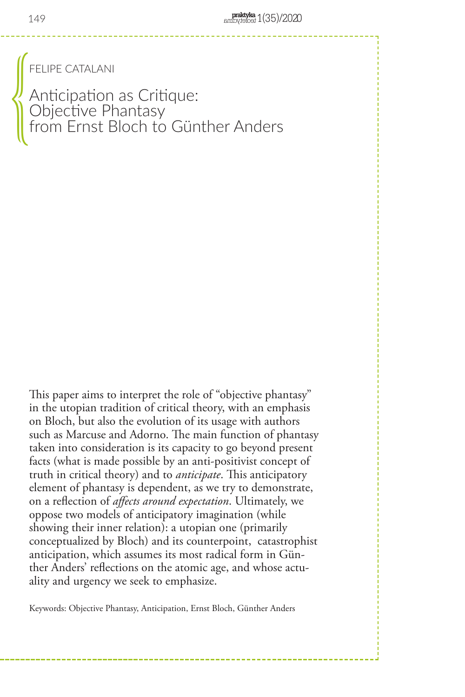FELIPE CATALANI

Anticipation as Critique: Objective Phantasy from Ernst Bloch to Günther Anders  $\bigotimes$ 

This paper aims to interpret the role of "objective phantasy" in the utopian tradition of critical theory, with an emphasis on Bloch, but also the evolution of its usage with authors such as Marcuse and Adorno. The main function of phantasy taken into consideration is its capacity to go beyond present facts (what is made possible by an anti-positivist concept of truth in critical theory) and to *anticipate*. This anticipatory element of phantasy is dependent, as we try to demonstrate, on a reflection of *affects around expectation*. Ultimately, we oppose two models of anticipatory imagination (while showing their inner relation): a utopian one (primarily conceptualized by Bloch) and its counterpoint, catastrophist anticipation, which assumes its most radical form in Günther Anders' reflections on the atomic age, and whose actuality and urgency we seek to emphasize.

Keywords: Objective Phantasy, Anticipation, Ernst Bloch, Günther Anders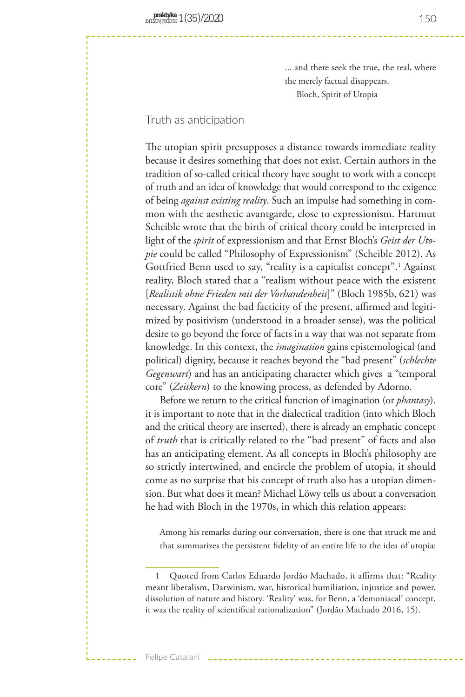... and there seek the true, the real, where the merely factual disappears. Bloch, Spirit of Utopia

# Truth as anticipation

The utopian spirit presupposes a distance towards immediate reality because it desires something that does not exist. Certain authors in the tradition of so-called critical theory have sought to work with a concept of truth and an idea of knowledge that would correspond to the exigence of being *against existing reality*. Such an impulse had something in common with the aesthetic avantgarde, close to expressionism. Hartmut Scheible wrote that the birth of critical theory could be interpreted in light of the *spirit* of expressionism and that Ernst Bloch's *Geist der Utopie* could be called "Philosophy of Expressionism" (Scheible 2012). As Gottfried Benn used to say, "reality is a capitalist concept".1 Against reality, Bloch stated that a "realism without peace with the existent [*Realistik ohne Frieden mit der Vorhandenheit*]" (Bloch 1985b, 621) was necessary. Against the bad facticity of the present, affirmed and legitimized by positivism (understood in a broader sense), was the political desire to go beyond the force of facts in a way that was not separate from knowledge. In this context, the *imagination* gains epistemological (and political) dignity, because it reaches beyond the "bad present" (*schlechte Gegenwart*) and has an anticipating character which gives a "temporal core" (*Zeitkern*) to the knowing process, as defended by Adorno.

Before we return to the critical function of imagination (or *phantasy*), it is important to note that in the dialectical tradition (into which Bloch and the critical theory are inserted), there is already an emphatic concept of *truth* that is critically related to the "bad present" of facts and also has an anticipating element. As all concepts in Bloch's philosophy are so strictly intertwined, and encircle the problem of utopia, it should come as no surprise that his concept of truth also has a utopian dimension. But what does it mean? Michael Löwy tells us about a conversation he had with Bloch in the 1970s, in which this relation appears:

Among his remarks during our conversation, there is one that struck me and that summarizes the persistent fidelity of an entire life to the idea of utopia:

<sup>1</sup> Quoted from Carlos Eduardo Jordão Machado, it affirms that: "Reality meant liberalism, Darwinism, war, historical humiliation, injustice and power, dissolution of nature and history. 'Reality' was, for Benn, a 'demoniacal' concept, it was the reality of scientifical rationalization" (Jordão Machado 2016, 15).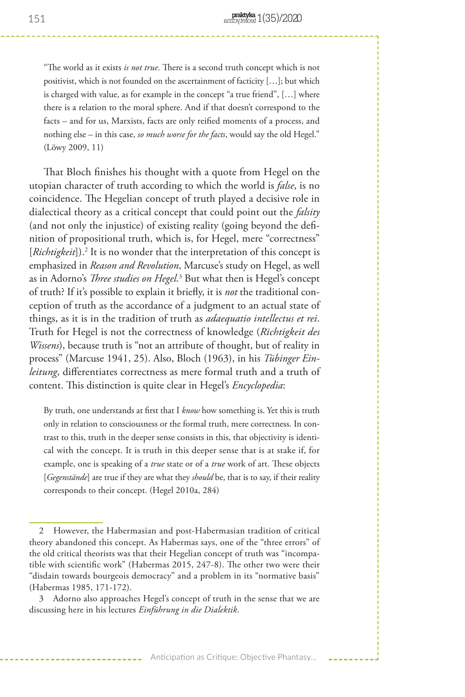"The world as it exists *is not true*. There is a second truth concept which is not positivist, which is not founded on the ascertainment of facticity […]; but which is charged with value, as for example in the concept "a true friend", […] where there is a relation to the moral sphere. And if that doesn't correspond to the facts – and for us, Marxists, facts are only reified moments of a process, and nothing else – in this case, *so much worse for the facts*, would say the old Hegel." (Löwy 2009, 11)

That Bloch finishes his thought with a quote from Hegel on the utopian character of truth according to which the world is *false*, is no coincidence. The Hegelian concept of truth played a decisive role in dialectical theory as a critical concept that could point out the *falsity* (and not only the injustice) of existing reality (going beyond the definition of propositional truth, which is, for Hegel, mere "correctness" [Richtigkeit]).<sup>2</sup> It is no wonder that the interpretation of this concept is emphasized in *Reason and Revolution*, Marcuse's study on Hegel, as well as in Adorno's *Three studies on Hegel.*<sup>3</sup> But what then is Hegel's concept of truth? If it's possible to explain it briefly, it is *not* the traditional conception of truth as the accordance of a judgment to an actual state of things, as it is in the tradition of truth as *adaequatio intellectus et rei*. Truth for Hegel is not the correctness of knowledge (*Richtigkeit des Wissens*), because truth is "not an attribute of thought, but of reality in process" (Marcuse 1941, 25). Also, Bloch (1963), in his *Tübinger Einleitung*, differentiates correctness as mere formal truth and a truth of content. This distinction is quite clear in Hegel's *Encyclopedia*:

By truth, one understands at first that I *know* how something is. Yet this is truth only in relation to consciousness or the formal truth, mere correctness. In contrast to this, truth in the deeper sense consists in this, that objectivity is identical with the concept. It is truth in this deeper sense that is at stake if, for example, one is speaking of a *true* state or of a *true* work of art. These objects [*Gegenstände*] are true if they are what they *should* be, that is to say, if their reality corresponds to their concept. (Hegel 2010a, 284)

<sup>2</sup> However, the Habermasian and post-Habermasian tradition of critical theory abandoned this concept. As Habermas says, one of the "three errors" of the old critical theorists was that their Hegelian concept of truth was "incompatible with scientific work" (Habermas 2015, 247-8). The other two were their "disdain towards bourgeois democracy" and a problem in its "normative basis" (Habermas 1985, 171-172).

<sup>3</sup> Adorno also approaches Hegel's concept of truth in the sense that we are discussing here in his lectures *Einführung in die Dialektik*.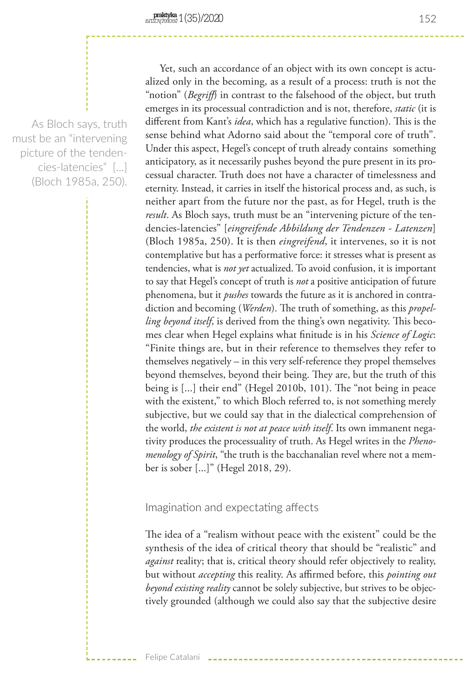As Bloch says, truth must be an "intervening picture of the tendencies-latencies" [...] (Bloch 1985a, 250).

Yet, such an accordance of an object with its own concept is actualized only in the becoming, as a result of a process: truth is not the "notion" (*Begriff*) in contrast to the falsehood of the object, but truth emerges in its processual contradiction and is not, therefore, *static* (it is different from Kant's *idea*, which has a regulative function). This is the sense behind what Adorno said about the "temporal core of truth". Under this aspect, Hegel's concept of truth already contains something anticipatory, as it necessarily pushes beyond the pure present in its processual character. Truth does not have a character of timelessness and eternity. Instead, it carries in itself the historical process and, as such, is neither apart from the future nor the past, as for Hegel, truth is the *result*. As Bloch says, truth must be an "intervening picture of the tendencies-latencies" [*eingreifende Abbildung der Tendenzen - Latenzen*] (Bloch 1985a, 250). It is then *eingreifend*, it intervenes, so it is not contemplative but has a performative force: it stresses what is present as tendencies, what is *not yet* actualized. To avoid confusion, it is important to say that Hegel's concept of truth is *not* a positive anticipation of future phenomena, but it *pushes* towards the future as it is anchored in contradiction and becoming (*Werden*). The truth of something, as this *propelling beyond itself*, is derived from the thing's own negativity. This becomes clear when Hegel explains what finitude is in his *Science of Logic*: "Finite things are, but in their reference to themselves they refer to themselves negatively – in this very self-reference they propel themselves beyond themselves, beyond their being. They are, but the truth of this being is [...] their end" (Hegel 2010b, 101). The "not being in peace with the existent," to which Bloch referred to, is not something merely subjective, but we could say that in the dialectical comprehension of the world, *the existent is not at peace with itself*. Its own immanent negativity produces the processuality of truth. As Hegel writes in the *Phenomenology of Spirit*, "the truth is the bacchanalian revel where not a member is sober [...]" (Hegel 2018, 29).

## Imagination and expectating affects

The idea of a "realism without peace with the existent" could be the synthesis of the idea of critical theory that should be "realistic" and *against* reality; that is, critical theory should refer objectively to reality, but without *accepting* this reality. As affirmed before, this *pointing out beyond existing reality* cannot be solely subjective, but strives to be objectively grounded (although we could also say that the subjective desire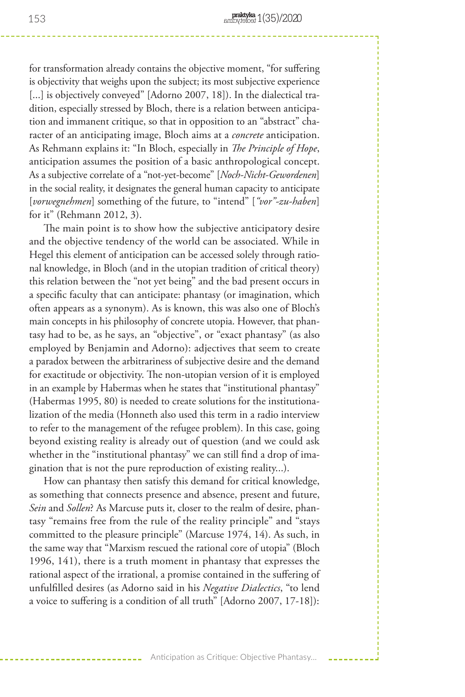for transformation already contains the objective moment, "for suffering is objectivity that weighs upon the subject; its most subjective experience [...] is objectively conveyed" [Adorno 2007, 18]). In the dialectical tradition, especially stressed by Bloch, there is a relation between anticipation and immanent critique, so that in opposition to an "abstract" character of an anticipating image, Bloch aims at a *concrete* anticipation. As Rehmann explains it: "In Bloch, especially in *The Principle of Hope*, anticipation assumes the position of a basic anthropological concept. As a subjective correlate of a "not-yet-become" [*Noch-Nicht-Gewordenen*] in the social reality, it designates the general human capacity to anticipate [*vorwegnehmen*] something of the future, to "intend" [*"vor"-zu-haben*] for it" (Rehmann 2012, 3).

The main point is to show how the subjective anticipatory desire and the objective tendency of the world can be associated. While in Hegel this element of anticipation can be accessed solely through rational knowledge, in Bloch (and in the utopian tradition of critical theory) this relation between the "not yet being" and the bad present occurs in a specific faculty that can anticipate: phantasy (or imagination, which often appears as a synonym). As is known, this was also one of Bloch's main concepts in his philosophy of concrete utopia. However, that phantasy had to be, as he says, an "objective", or "exact phantasy" (as also employed by Benjamin and Adorno): adjectives that seem to create a paradox between the arbitrariness of subjective desire and the demand for exactitude or objectivity. The non-utopian version of it is employed in an example by Habermas when he states that "institutional phantasy" (Habermas 1995, 80) is needed to create solutions for the institutionalization of the media (Honneth also used this term in a radio interview to refer to the management of the refugee problem). In this case, going beyond existing reality is already out of question (and we could ask whether in the "institutional phantasy" we can still find a drop of imagination that is not the pure reproduction of existing reality...).

How can phantasy then satisfy this demand for critical knowledge, as something that connects presence and absence, present and future, *Sein* and *Sollen*? As Marcuse puts it, closer to the realm of desire, phantasy "remains free from the rule of the reality principle" and "stays committed to the pleasure principle" (Marcuse 1974, 14). As such, in the same way that "Marxism rescued the rational core of utopia" (Bloch 1996, 141), there is a truth moment in phantasy that expresses the rational aspect of the irrational, a promise contained in the suffering of unfulfilled desires (as Adorno said in his *Negative Dialectics*, "to lend a voice to suffering is a condition of all truth" [Adorno 2007, 17-18]):

Anticipation as Critique: Objective Phantasy...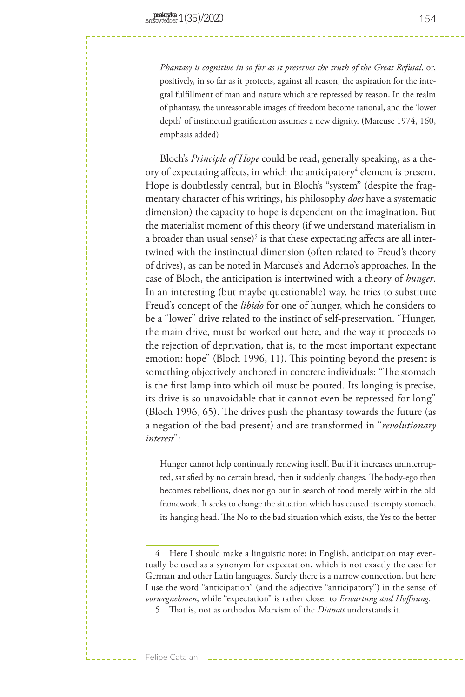*Phantasy is cognitive in so far as it preserves the truth of the Great Refusal*, or, positively, in so far as it protects, against all reason, the aspiration for the integral fulfillment of man and nature which are repressed by reason. In the realm of phantasy, the unreasonable images of freedom become rational, and the 'lower depth' of instinctual gratification assumes a new dignity. (Marcuse 1974, 160, emphasis added)

Bloch's *Principle of Hope* could be read, generally speaking, as a theory of expectating affects, in which the anticipatory<sup>4</sup> element is present. Hope is doubtlessly central, but in Bloch's "system" (despite the fragmentary character of his writings, his philosophy *does* have a systematic dimension) the capacity to hope is dependent on the imagination. But the materialist moment of this theory (if we understand materialism in a broader than usual sense)<sup>5</sup> is that these expectating affects are all intertwined with the instinctual dimension (often related to Freud's theory of drives), as can be noted in Marcuse's and Adorno's approaches. In the case of Bloch, the anticipation is intertwined with a theory of *hunger*. In an interesting (but maybe questionable) way, he tries to substitute Freud's concept of the *libido* for one of hunger, which he considers to be a "lower" drive related to the instinct of self-preservation. "Hunger, the main drive, must be worked out here, and the way it proceeds to the rejection of deprivation, that is, to the most important expectant emotion: hope" (Bloch 1996, 11). This pointing beyond the present is something objectively anchored in concrete individuals: "The stomach is the first lamp into which oil must be poured. Its longing is precise, its drive is so unavoidable that it cannot even be repressed for long" (Bloch 1996, 65). The drives push the phantasy towards the future (as a negation of the bad present) and are transformed in "*revolutionary interest*":

Hunger cannot help continually renewing itself. But if it increases uninterrupted, satisfied by no certain bread, then it suddenly changes. The body-ego then becomes rebellious, does not go out in search of food merely within the old framework. It seeks to change the situation which has caused its empty stomach, its hanging head. The No to the bad situation which exists, the Yes to the better

<sup>4</sup> Here I should make a linguistic note: in English, anticipation may eventually be used as a synonym for expectation, which is not exactly the case for German and other Latin languages. Surely there is a narrow connection, but here I use the word "anticipation" (and the adjective "anticipatory") in the sense of *vorwegnehmen*, while "expectation" is rather closer to *Erwartung and Hoffnung*.

<sup>5</sup> That is, not as orthodox Marxism of the *Diamat* understands it.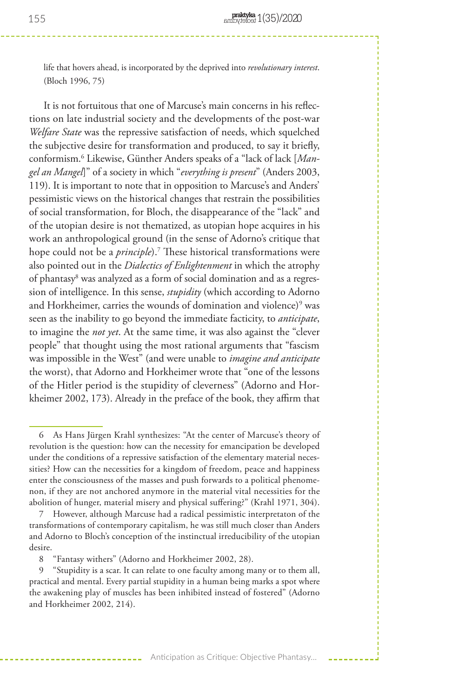life that hovers ahead, is incorporated by the deprived into *revolutionary interest*. (Bloch 1996, 75)

It is not fortuitous that one of Marcuse's main concerns in his reflections on late industrial society and the developments of the post-war *Welfare State* was the repressive satisfaction of needs, which squelched the subjective desire for transformation and produced, to say it briefly, conformism.6 Likewise, Günther Anders speaks of a "lack of lack [*Mangel an Mangel*]" of a society in which "*everything is present*" (Anders 2003, 119). It is important to note that in opposition to Marcuse's and Anders' pessimistic views on the historical changes that restrain the possibilities of social transformation, for Bloch, the disappearance of the "lack" and of the utopian desire is not thematized, as utopian hope acquires in his work an anthropological ground (in the sense of Adorno's critique that hope could not be a *principle*).7 These historical transformations were also pointed out in the *Dialectics of Enlightenment* in which the atrophy of phantasy<sup>8</sup> was analyzed as a form of social domination and as a regression of intelligence. In this sense, *stupidity* (which according to Adorno and Horkheimer, carries the wounds of domination and violence) $^9$  was seen as the inability to go beyond the immediate facticity, to *anticipate*, to imagine the *not yet*. At the same time, it was also against the "clever people" that thought using the most rational arguments that "fascism was impossible in the West" (and were unable to *imagine and anticipate* the worst), that Adorno and Horkheimer wrote that "one of the lessons of the Hitler period is the stupidity of cleverness" (Adorno and Horkheimer 2002, 173). Already in the preface of the book, they affirm that

<sup>6</sup> As Hans Jürgen Krahl synthesizes: "At the center of Marcuse's theory of revolution is the question: how can the necessity for emancipation be developed under the conditions of a repressive satisfaction of the elementary material necessities? How can the necessities for a kingdom of freedom, peace and happiness enter the consciousness of the masses and push forwards to a political phenomenon, if they are not anchored anymore in the material vital necessities for the abolition of hunger, material misery and physical suffering?" (Krahl 1971, 304).

<sup>7</sup> However, although Marcuse had a radical pessimistic interpretaton of the transformations of contemporary capitalism, he was still much closer than Anders and Adorno to Bloch's conception of the instinctual irreducibility of the utopian desire.

<sup>8</sup> "Fantasy withers" (Adorno and Horkheimer 2002, 28).

<sup>9</sup> "Stupidity is a scar. It can relate to one faculty among many or to them all, practical and mental. Every partial stupidity in a human being marks a spot where the awakening play of muscles has been inhibited instead of fostered" (Adorno and Horkheimer 2002, 214).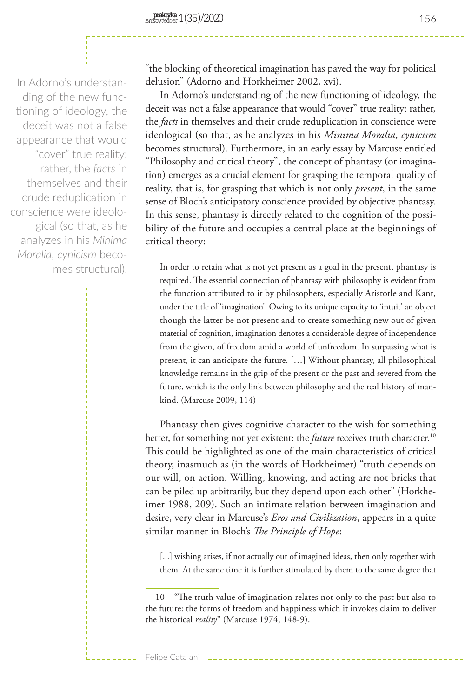In Adorno's understanding of the new functioning of ideology, the deceit was not a false appearance that would "cover" true reality: rather, the *facts* in themselves and their crude reduplication in conscience were ideological (so that, as he analyzes in his *Minima Moralia*, *cynicism* becomes structural).

"the blocking of theoretical imagination has paved the way for political delusion" (Adorno and Horkheimer 2002, xvi).

In Adorno's understanding of the new functioning of ideology, the deceit was not a false appearance that would "cover" true reality: rather, the *facts* in themselves and their crude reduplication in conscience were ideological (so that, as he analyzes in his *Minima Moralia*, *cynicism* becomes structural). Furthermore, in an early essay by Marcuse entitled "Philosophy and critical theory", the concept of phantasy (or imagination) emerges as a crucial element for grasping the temporal quality of reality, that is, for grasping that which is not only *present*, in the same sense of Bloch's anticipatory conscience provided by objective phantasy. In this sense, phantasy is directly related to the cognition of the possibility of the future and occupies a central place at the beginnings of critical theory:

In order to retain what is not yet present as a goal in the present, phantasy is required. The essential connection of phantasy with philosophy is evident from the function attributed to it by philosophers, especially Aristotle and Kant, under the title of 'imagination'. Owing to its unique capacity to 'intuit' an object though the latter be not present and to create something new out of given material of cognition, imagination denotes a considerable degree of independence from the given, of freedom amid a world of unfreedom. In surpassing what is present, it can anticipate the future. […] Without phantasy, all philosophical knowledge remains in the grip of the present or the past and severed from the future, which is the only link between philosophy and the real history of mankind. (Marcuse 2009, 114)

Phantasy then gives cognitive character to the wish for something better, for something not yet existent: the *future* receives truth character.<sup>10</sup> This could be highlighted as one of the main characteristics of critical theory, inasmuch as (in the words of Horkheimer) "truth depends on our will, on action. Willing, knowing, and acting are not bricks that can be piled up arbitrarily, but they depend upon each other" (Horkheimer 1988, 209). Such an intimate relation between imagination and desire, very clear in Marcuse's *Eros and Civilization*, appears in a quite similar manner in Bloch's *The Principle of Hope*:

[...] wishing arises, if not actually out of imagined ideas, then only together with them. At the same time it is further stimulated by them to the same degree that

156

<sup>10</sup> "The truth value of imagination relates not only to the past but also to the future: the forms of freedom and happiness which it invokes claim to deliver the historical *reality*" (Marcuse 1974, 148-9).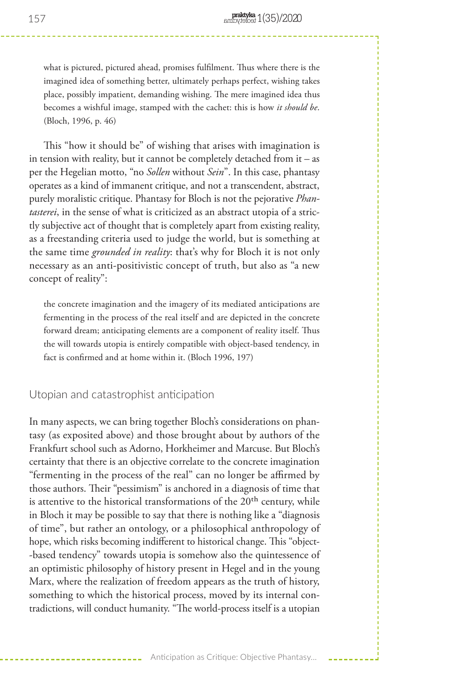what is pictured, pictured ahead, promises fulfilment. Thus where there is the imagined idea of something better, ultimately perhaps perfect, wishing takes place, possibly impatient, demanding wishing. The mere imagined idea thus becomes a wishful image, stamped with the cachet: this is how *it should be*. (Bloch, 1996, p. 46)

This "how it should be" of wishing that arises with imagination is in tension with reality, but it cannot be completely detached from it – as per the Hegelian motto, "no *Sollen* without *Sein*". In this case, phantasy operates as a kind of immanent critique, and not a transcendent, abstract, purely moralistic critique. Phantasy for Bloch is not the pejorative *Phantasterei*, in the sense of what is criticized as an abstract utopia of a strictly subjective act of thought that is completely apart from existing reality, as a freestanding criteria used to judge the world, but is something at the same time *grounded in reality*: that's why for Bloch it is not only necessary as an anti-positivistic concept of truth, but also as "a new concept of reality":

the concrete imagination and the imagery of its mediated anticipations are fermenting in the process of the real itself and are depicted in the concrete forward dream; anticipating elements are a component of reality itself. Thus the will towards utopia is entirely compatible with object-based tendency, in fact is confirmed and at home within it. (Bloch 1996, 197)

Utopian and catastrophist anticipation

In many aspects, we can bring together Bloch's considerations on phantasy (as exposited above) and those brought about by authors of the Frankfurt school such as Adorno, Horkheimer and Marcuse. But Bloch's certainty that there is an objective correlate to the concrete imagination "fermenting in the process of the real" can no longer be affirmed by those authors. Their "pessimism" is anchored in a diagnosis of time that is attentive to the historical transformations of the  $20<sup>th</sup>$  century, while in Bloch it may be possible to say that there is nothing like a "diagnosis of time", but rather an ontology, or a philosophical anthropology of hope, which risks becoming indifferent to historical change. This "object- -based tendency" towards utopia is somehow also the quintessence of an optimistic philosophy of history present in Hegel and in the young Marx, where the realization of freedom appears as the truth of history, something to which the historical process, moved by its internal contradictions, will conduct humanity. "The world-process itself is a utopian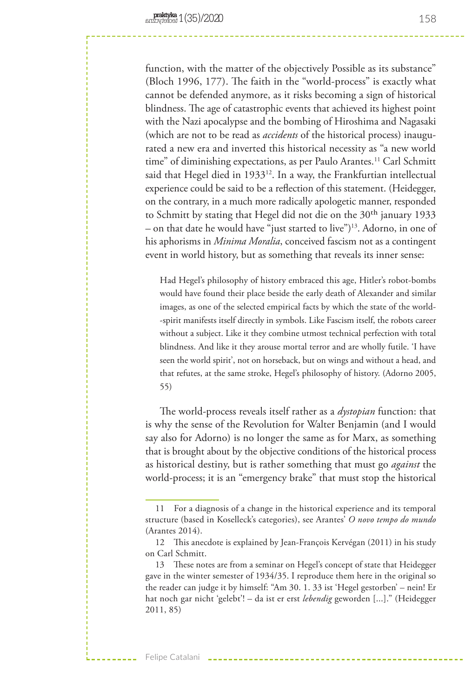function, with the matter of the objectively Possible as its substance" (Bloch 1996, 177). The faith in the "world-process" is exactly what cannot be defended anymore, as it risks becoming a sign of historical blindness. The age of catastrophic events that achieved its highest point with the Nazi apocalypse and the bombing of Hiroshima and Nagasaki (which are not to be read as *accidents* of the historical process) inaugurated a new era and inverted this historical necessity as "a new world time" of diminishing expectations, as per Paulo Arantes.<sup>11</sup> Carl Schmitt said that Hegel died in 1933<sup>12</sup>. In a way, the Frankfurtian intellectual experience could be said to be a reflection of this statement. (Heidegger, on the contrary, in a much more radically apologetic manner, responded to Schmitt by stating that Hegel did not die on the 30<sup>th</sup> january 1933 – on that date he would have "just started to live")13. Adorno, in one of his aphorisms in *Minima Moralia*, conceived fascism not as a contingent event in world history, but as something that reveals its inner sense:

Had Hegel's philosophy of history embraced this age, Hitler's robot-bombs would have found their place beside the early death of Alexander and similar images, as one of the selected empirical facts by which the state of the world- -spirit manifests itself directly in symbols. Like Fascism itself, the robots career without a subject. Like it they combine utmost technical perfection with total blindness. And like it they arouse mortal terror and are wholly futile. 'I have seen the world spirit', not on horseback, but on wings and without a head, and that refutes, at the same stroke, Hegel's philosophy of history. (Adorno 2005, 55)

The world-process reveals itself rather as a *dystopian* function: that is why the sense of the Revolution for Walter Benjamin (and I would say also for Adorno) is no longer the same as for Marx, as something that is brought about by the objective conditions of the historical process as historical destiny, but is rather something that must go *against* the world-process; it is an "emergency brake" that must stop the historical

<sup>11</sup> For a diagnosis of a change in the historical experience and its temporal structure (based in Koselleck's categories), see Arantes' *O novo tempo do mundo*  (Arantes 2014).

<sup>12</sup> This anecdote is explained by Jean-François Kervégan (2011) in his study on Carl Schmitt.

<sup>13</sup> These notes are from a seminar on Hegel's concept of state that Heidegger gave in the winter semester of 1934/35. I reproduce them here in the original so the reader can judge it by himself: "Am 30. 1. 33 ist 'Hegel gestorben' – nein! Er hat noch gar nicht 'gelebt'! – da ist er erst *lebendig* geworden [...]." (Heidegger 2011, 85)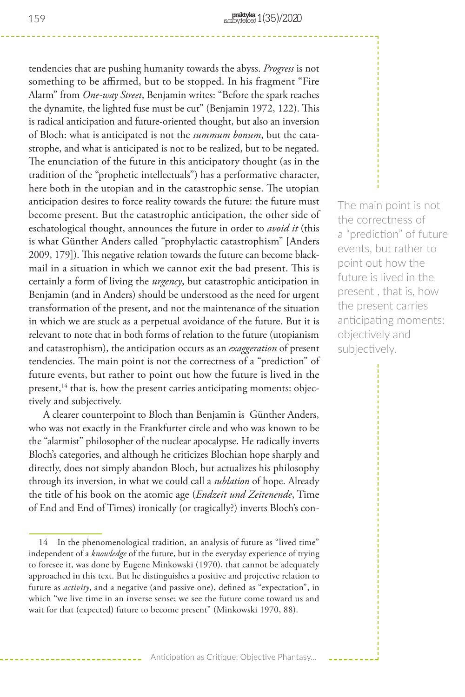tendencies that are pushing humanity towards the abyss. *Progress* is not something to be affirmed, but to be stopped. In his fragment "Fire Alarm" from *One-way Street*, Benjamin writes: "Before the spark reaches the dynamite, the lighted fuse must be cut" (Benjamin 1972, 122). This is radical anticipation and future-oriented thought, but also an inversion of Bloch: what is anticipated is not the *summum bonum*, but the catastrophe, and what is anticipated is not to be realized, but to be negated. The enunciation of the future in this anticipatory thought (as in the tradition of the "prophetic intellectuals") has a performative character, here both in the utopian and in the catastrophic sense. The utopian anticipation desires to force reality towards the future: the future must become present. But the catastrophic anticipation, the other side of eschatological thought, announces the future in order to *avoid it* (this is what Günther Anders called "prophylactic catastrophism" [Anders 2009, 179]). This negative relation towards the future can become blackmail in a situation in which we cannot exit the bad present. This is certainly a form of living the *urgency*, but catastrophic anticipation in Benjamin (and in Anders) should be understood as the need for urgent transformation of the present, and not the maintenance of the situation in which we are stuck as a perpetual avoidance of the future. But it is relevant to note that in both forms of relation to the future (utopianism and catastrophism), the anticipation occurs as an *exaggeration* of present tendencies. The main point is not the correctness of a "prediction" of future events, but rather to point out how the future is lived in the present,<sup>14</sup> that is, how the present carries anticipating moments: objectively and subjectively.

A clearer counterpoint to Bloch than Benjamin is Günther Anders, who was not exactly in the Frankfurter circle and who was known to be the "alarmist" philosopher of the nuclear apocalypse. He radically inverts Bloch's categories, and although he criticizes Blochian hope sharply and directly, does not simply abandon Bloch, but actualizes his philosophy through its inversion, in what we could call a *sublation* of hope. Already the title of his book on the atomic age (*Endzeit und Zeitenende*, Time of End and End of Times) ironically (or tragically?) inverts Bloch's conThe main point is not the correctness of a "prediction" of future events, but rather to point out how the future is lived in the present , that is, how the present carries anticipating moments: objectively and subjectively.

<sup>14</sup> In the phenomenological tradition, an analysis of future as "lived time" independent of a *knowledge* of the future, but in the everyday experience of trying to foresee it, was done by Eugene Minkowski (1970), that cannot be adequately approached in this text. But he distinguishes a positive and projective relation to future as *activity*, and a negative (and passive one), defined as "expectation", in which "we live time in an inverse sense; we see the future come toward us and wait for that (expected) future to become present" (Minkowski 1970, 88).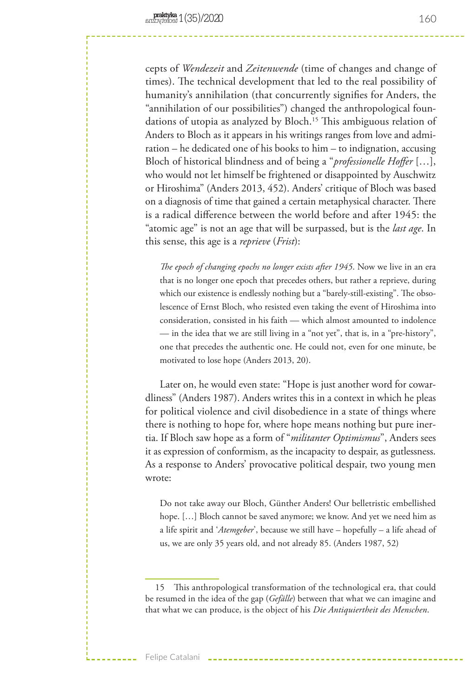cepts of *Wendezeit* and *Zeitenwende* (time of changes and change of times). The technical development that led to the real possibility of humanity's annihilation (that concurrently signifies for Anders, the "annihilation of our possibilities") changed the anthropological foundations of utopia as analyzed by Bloch.<sup>15</sup> This ambiguous relation of Anders to Bloch as it appears in his writings ranges from love and admiration – he dedicated one of his books to him – to indignation, accusing Bloch of historical blindness and of being a "*professionelle Hoffer* […], who would not let himself be frightened or disappointed by Auschwitz or Hiroshima" (Anders 2013, 452). Anders' critique of Bloch was based on a diagnosis of time that gained a certain metaphysical character. There is a radical difference between the world before and after 1945: the "atomic age" is not an age that will be surpassed, but is the *last age*. In this sense, this age is a *reprieve* (*Frist*):

*The epoch of changing epochs no longer exists after 1945*. Now we live in an era that is no longer one epoch that precedes others, but rather a reprieve, during which our existence is endlessly nothing but a "barely-still-existing". The obsolescence of Ernst Bloch, who resisted even taking the event of Hiroshima into consideration, consisted in his faith — which almost amounted to indolence — in the idea that we are still living in a "not yet", that is, in a "pre-history", one that precedes the authentic one. He could not, even for one minute, be motivated to lose hope (Anders 2013, 20).

Later on, he would even state: "Hope is just another word for cowardliness" (Anders 1987). Anders writes this in a context in which he pleas for political violence and civil disobedience in a state of things where there is nothing to hope for, where hope means nothing but pure inertia. If Bloch saw hope as a form of "*militanter Optimismus*", Anders sees it as expression of conformism, as the incapacity to despair, as gutlessness. As a response to Anders' provocative political despair, two young men wrote:

Do not take away our Bloch, Günther Anders! Our belletristic embellished hope. […] Bloch cannot be saved anymore; we know. And yet we need him as a life spirit and '*Atemgeber*', because we still have – hopefully – a life ahead of us, we are only 35 years old, and not already 85. (Anders 1987, 52)

<sup>15</sup> This anthropological transformation of the technological era, that could be resumed in the idea of the gap (*Gefälle*) between that what we can imagine and that what we can produce, is the object of his *Die Antiquiertheit des Menschen*.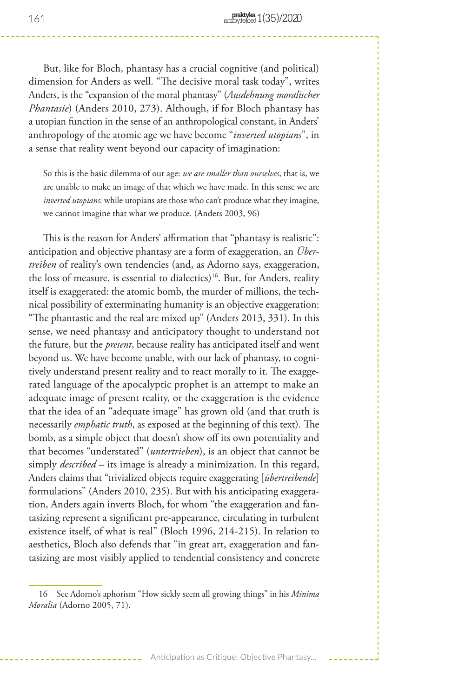But, like for Bloch, phantasy has a crucial cognitive (and political) dimension for Anders as well. "The decisive moral task today", writes Anders, is the "expansion of the moral phantasy" (*Ausdehnung moralischer Phantasie*) (Anders 2010, 273). Although, if for Bloch phantasy has a utopian function in the sense of an anthropological constant, in Anders' anthropology of the atomic age we have become "*inverted utopians*", in a sense that reality went beyond our capacity of imagination:

So this is the basic dilemma of our age: *we are smaller than ourselves*, that is, we are unable to make an image of that which we have made. In this sense we are *inverted utopians*: while utopians are those who can't produce what they imagine, we cannot imagine that what we produce. (Anders 2003, 96)

This is the reason for Anders' affirmation that "phantasy is realistic": anticipation and objective phantasy are a form of exaggeration, an *Übertreiben* of reality's own tendencies (and, as Adorno says, exaggeration, the loss of measure, is essential to dialectics)<sup>16</sup>. But, for Anders, reality itself is exaggerated: the atomic bomb, the murder of millions, the technical possibility of exterminating humanity is an objective exaggeration: "The phantastic and the real are mixed up" (Anders 2013, 331). In this sense, we need phantasy and anticipatory thought to understand not the future, but the *present*, because reality has anticipated itself and went beyond us. We have become unable, with our lack of phantasy, to cognitively understand present reality and to react morally to it. The exaggerated language of the apocalyptic prophet is an attempt to make an adequate image of present reality, or the exaggeration is the evidence that the idea of an "adequate image" has grown old (and that truth is necessarily *emphatic truth*, as exposed at the beginning of this text). The bomb, as a simple object that doesn't show off its own potentiality and that becomes "understated" (*untertrieben*), is an object that cannot be simply *described* – its image is already a minimization. In this regard, Anders claims that "trivialized objects require exaggerating [*übertreibende*] formulations" (Anders 2010, 235). But with his anticipating exaggeration, Anders again inverts Bloch, for whom "the exaggeration and fantasizing represent a significant pre-appearance, circulating in turbulent existence itself, of what is real" (Bloch 1996, 214-215). In relation to aesthetics, Bloch also defends that "in great art, exaggeration and fantasizing are most visibly applied to tendential consistency and concrete

<sup>16</sup> See Adorno's aphorism "How sickly seem all growing things" in his *Minima Moralia* (Adorno 2005, 71).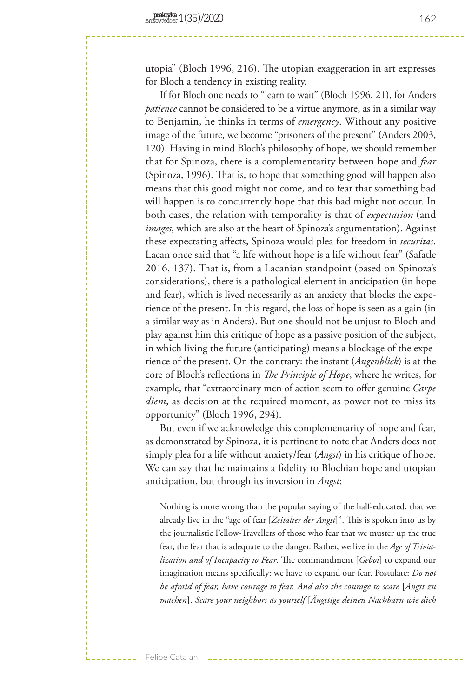utopia" (Bloch 1996, 216). The utopian exaggeration in art expresses for Bloch a tendency in existing reality.

If for Bloch one needs to "learn to wait" (Bloch 1996, 21), for Anders *patience* cannot be considered to be a virtue anymore, as in a similar way to Benjamin, he thinks in terms of *emergency*. Without any positive image of the future, we become "prisoners of the present" (Anders 2003, 120). Having in mind Bloch's philosophy of hope, we should remember that for Spinoza, there is a complementarity between hope and *fear* (Spinoza, 1996). That is, to hope that something good will happen also means that this good might not come, and to fear that something bad will happen is to concurrently hope that this bad might not occur. In both cases, the relation with temporality is that of *expectation* (and *images*, which are also at the heart of Spinoza's argumentation). Against these expectating affects, Spinoza would plea for freedom in *securitas*. Lacan once said that "a life without hope is a life without fear" (Safatle 2016, 137). That is, from a Lacanian standpoint (based on Spinoza's considerations), there is a pathological element in anticipation (in hope and fear), which is lived necessarily as an anxiety that blocks the experience of the present. In this regard, the loss of hope is seen as a gain (in a similar way as in Anders). But one should not be unjust to Bloch and play against him this critique of hope as a passive position of the subject, in which living the future (anticipating) means a blockage of the experience of the present. On the contrary: the instant (*Augenblick*) is at the core of Bloch's reflections in *The Principle of Hope*, where he writes, for example, that "extraordinary men of action seem to offer genuine *Carpe diem*, as decision at the required moment, as power not to miss its opportunity" (Bloch 1996, 294).

But even if we acknowledge this complementarity of hope and fear, as demonstrated by Spinoza, it is pertinent to note that Anders does not simply plea for a life without anxiety/fear (*Angst*) in his critique of hope. We can say that he maintains a fidelity to Blochian hope and utopian anticipation, but through its inversion in *Angst*:

Nothing is more wrong than the popular saying of the half-educated, that we already live in the "age of fear [*Zeitalter der Angst*]". This is spoken into us by the journalistic Fellow-Travellers of those who fear that we muster up the true fear, the fear that is adequate to the danger. Rather, we live in the *Age of Trivialization and of Incapacity to Fear*. The commandment [*Gebot*] to expand our imagination means specifically: we have to expand our fear. Postulate: *Do not be afraid of fear, have courage to fear. And also the courage to scare* [*Angst zu machen*]. *Scare your neighbors as yourself* [*Ängstige deinen Nachbarn wie dich*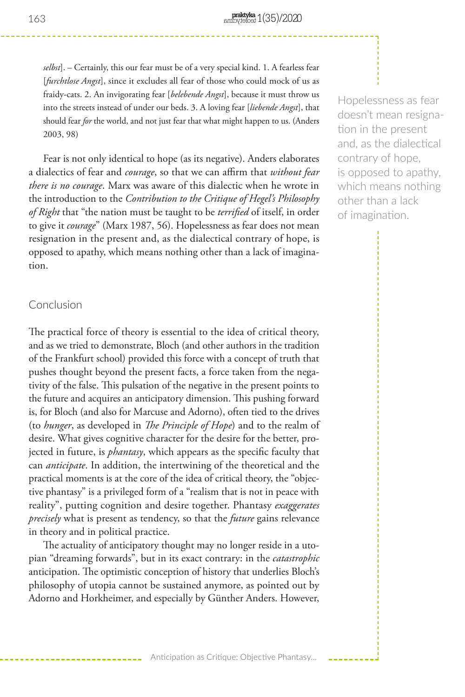*selbst*]. – Certainly, this our fear must be of a very special kind. 1. A fearless fear [*furchtlose Angst*], since it excludes all fear of those who could mock of us as fraidy-cats. 2. An invigorating fear [*belebende Angst*], because it must throw us into the streets instead of under our beds. 3. A loving fear [*liebende Angst*], that should fear *for* the world, and not just fear that what might happen to us. (Anders 2003, 98)

Fear is not only identical to hope (as its negative). Anders elaborates a dialectics of fear and *courage*, so that we can affirm that *without fear there is no courage*. Marx was aware of this dialectic when he wrote in the introduction to the *Contribution to the Critique of Hegel's Philosophy of Right* that "the nation must be taught to be *terrified* of itself, in order to give it *courage*" (Marx 1987, 56). Hopelessness as fear does not mean resignation in the present and, as the dialectical contrary of hope, is opposed to apathy, which means nothing other than a lack of imagination.

# Conclusion

The practical force of theory is essential to the idea of critical theory, and as we tried to demonstrate, Bloch (and other authors in the tradition of the Frankfurt school) provided this force with a concept of truth that pushes thought beyond the present facts, a force taken from the negativity of the false. This pulsation of the negative in the present points to the future and acquires an anticipatory dimension. This pushing forward is, for Bloch (and also for Marcuse and Adorno), often tied to the drives (to *hunger*, as developed in *The Principle of Hope*) and to the realm of desire. What gives cognitive character for the desire for the better, projected in future, is *phantasy*, which appears as the specific faculty that can *anticipate*. In addition, the intertwining of the theoretical and the practical moments is at the core of the idea of critical theory, the "objective phantasy" is a privileged form of a "realism that is not in peace with reality", putting cognition and desire together. Phantasy *exaggerates precisely* what is present as tendency, so that the *future* gains relevance in theory and in political practice.

The actuality of anticipatory thought may no longer reside in a utopian "dreaming forwards", but in its exact contrary: in the *catastrophic* anticipation. The optimistic conception of history that underlies Bloch's philosophy of utopia cannot be sustained anymore, as pointed out by Adorno and Horkheimer, and especially by Günther Anders. However,

Hopelessness as fear doesn't mean resignation in the present and, as the dialectical contrary of hope, is opposed to apathy, which means nothing other than a lack of imagination.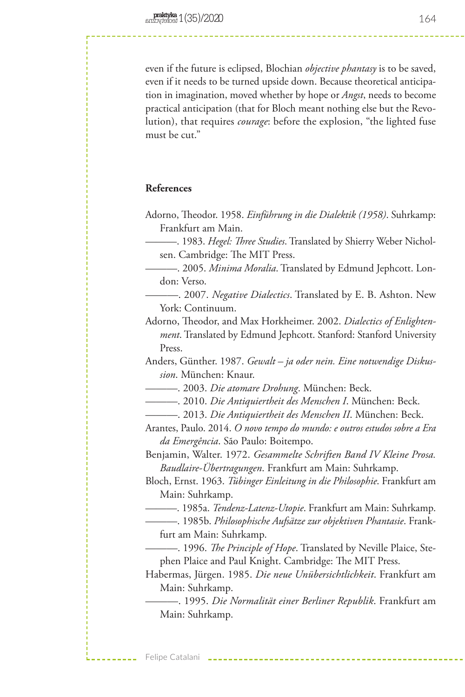even if the future is eclipsed, Blochian *objective phantasy* is to be saved, even if it needs to be turned upside down. Because theoretical anticipation in imagination, moved whether by hope or *Angst*, needs to become practical anticipation (that for Bloch meant nothing else but the Revolution), that requires *courage*: before the explosion, "the lighted fuse must be cut."

## **References**

- Adorno, Theodor. 1958. *Einführung in die Dialektik (1958)*. Suhrkamp: Frankfurt am Main.
	- ———. 1983. *Hegel: Three Studies*. Translated by Shierry Weber Nicholsen. Cambridge: The MIT Press.
	- ———. 2005. *Minima Moralia*. Translated by Edmund Jephcott. London: Verso.
	- ———. 2007. *Negative Dialectics*. Translated by E. B. Ashton. New York: Continuum.
- Adorno, Theodor, and Max Horkheimer. 2002. *Dialectics of Enlightenment*. Translated by Edmund Jephcott. Stanford: Stanford University Press.
- Anders, Günther. 1987. *Gewalt ja oder nein. Eine notwendige Diskussion*. München: Knaur.
	- ———. 2003. *Die atomare Drohung*. München: Beck.
	- ———. 2010. *Die Antiquiertheit des Menschen I*. München: Beck.
- ———. 2013. *Die Antiquiertheit des Menschen II*. München: Beck.
- Arantes, Paulo. 2014. *O novo tempo do mundo: e outros estudos sobre a Era da Emergência*. São Paulo: Boitempo.
- Benjamin, Walter. 1972. *Gesammelte Schriften Band IV Kleine Prosa. Baudlaire-Übertragungen*. Frankfurt am Main: Suhrkamp.
- Bloch, Ernst. 1963. *Tübinger Einleitung in die Philosophie*. Frankfurt am Main: Suhrkamp.
	- ———. 1985a. *Tendenz-Latenz-Utopie*. Frankfurt am Main: Suhrkamp.
	- ———. 1985b. *Philosophische Aufsätze zur objektiven Phantasie*. Frankfurt am Main: Suhrkamp.
	- ———. 1996. *The Principle of Hope*. Translated by Neville Plaice, Stephen Plaice and Paul Knight. Cambridge: The MIT Press.
- Habermas, Jürgen. 1985. *Die neue Unübersichtlichkeit*. Frankfurt am Main: Suhrkamp.

———. 1995. *Die Normalität einer Berliner Republik*. Frankfurt am Main: Suhrkamp.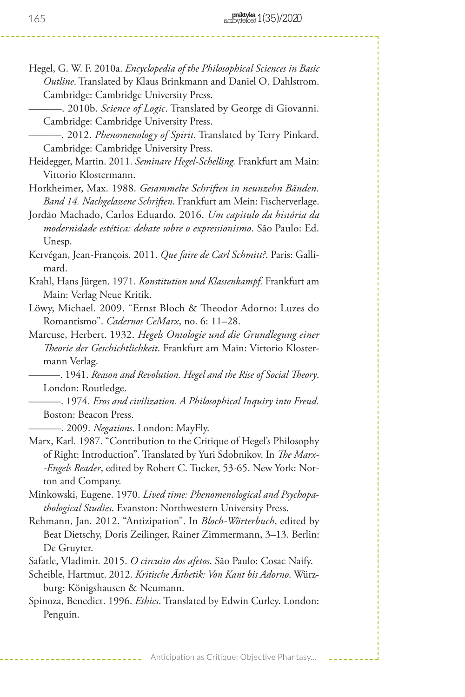Hegel, G. W. F. 2010a. *Encyclopedia of the Philosophical Sciences in Basic Outline*. Translated by Klaus Brinkmann and Daniel O. Dahlstrom. Cambridge: Cambridge University Press.

———. 2010b. *Science of Logic*. Translated by George di Giovanni. Cambridge: Cambridge University Press.

———. 2012. *Phenomenology of Spirit*. Translated by Terry Pinkard. Cambridge: Cambridge University Press.

Heidegger, Martin. 2011. *Seminare Hegel-Schelling.* Frankfurt am Main: Vittorio Klostermann.

Horkheimer, Max. 1988. *Gesammelte Schriften in neunzehn Bänden. Band 14. Nachgelassene Schriften*. Frankfurt am Mein: Fischerverlage.

Jordão Machado, Carlos Eduardo. 2016. *Um capitulo da história da modernidade estética: debate sobre o expressionismo*. São Paulo: Ed. Unesp.

- Kervégan, Jean-François. 2011. *Que faire de Carl Schmitt?*. Paris: Gallimard.
- Krahl, Hans Jürgen. 1971. *Konstitution und Klassenkampf.* Frankfurt am Main: Verlag Neue Kritik.
- Löwy, Michael. 2009. "Ernst Bloch & Theodor Adorno: Luzes do Romantismo". *Cadernos CeMarx*, no. 6: 11–28.
- Marcuse, Herbert. 1932. *Hegels Ontologie und die Grundlegung einer Theorie der Geschichtlichkeit*. Frankfurt am Main: Vittorio Klostermann Verlag.

———. 1941. *Reason and Revolution. Hegel and the Rise of Social Theory*. London: Routledge.

———. 1974. *Eros and civilization. A Philosophical Inquiry into Freud.* Boston: Beacon Press.

———. 2009. *Negations*. London: MayFly.

- Marx, Karl. 1987. "Contribution to the Critique of Hegel's Philosophy of Right: Introduction". Translated by Yuri Sdobnikov. In *The Marx- -Engels Reader*, edited by Robert C. Tucker, 53-65. New York: Norton and Company.
- Minkowski, Eugene. 1970. *Lived time: Phenomenological and Psychopathological Studies*. Evanston: Northwestern University Press.
- Rehmann, Jan. 2012. "Antizipation". In *Bloch-Wörterbuch*, edited by Beat Dietschy, Doris Zeilinger, Rainer Zimmermann, 3–13. Berlin: De Gruyter.

Safatle, Vladimir. 2015. *O circuito dos afetos*. São Paulo: Cosac Naify.

- Scheible, Hartmut. 2012. *Kritische Ästhetik: Von Kant bis Adorno*. Würzburg: Königshausen & Neumann.
- Spinoza, Benedict. 1996. *Ethics*. Translated by Edwin Curley. London: Penguin.